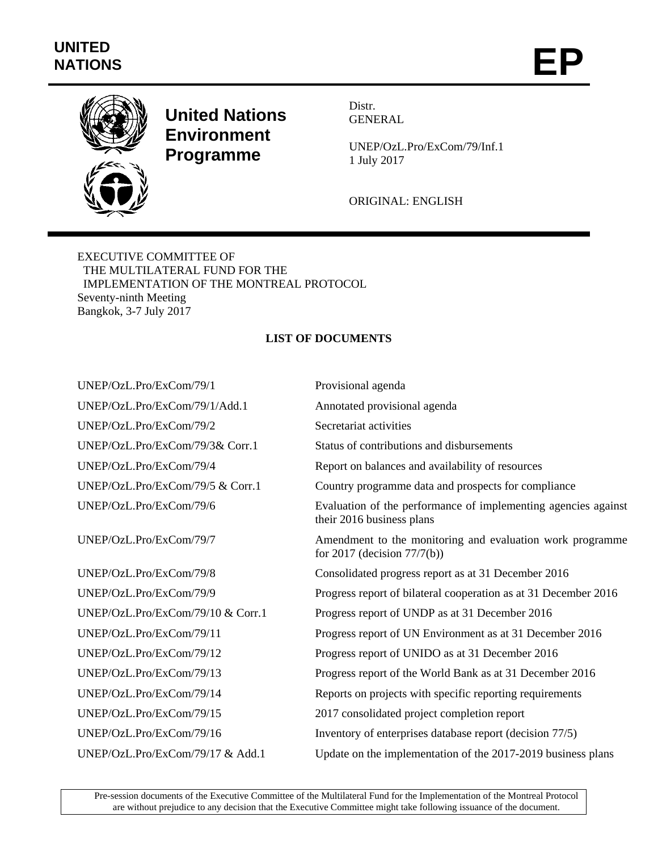## **UNITED**  UNITED<br>NATIONS **EP**



## **United Nations Environment Programme**

Distr. **GENERAL** 

UNEP/OzL.Pro/ExCom/79/Inf.1 1 July 2017

ORIGINAL: ENGLISH

EXECUTIVE COMMITTEE OF THE MULTILATERAL FUND FOR THE IMPLEMENTATION OF THE MONTREAL PROTOCOL Seventy-ninth Meeting Bangkok, 3-7 July 2017

## **LIST OF DOCUMENTS**

| Provisional agenda                                                                          |
|---------------------------------------------------------------------------------------------|
| Annotated provisional agenda                                                                |
| Secretariat activities                                                                      |
| Status of contributions and disbursements                                                   |
| Report on balances and availability of resources                                            |
| Country programme data and prospects for compliance                                         |
| Evaluation of the performance of implementing agencies against<br>their 2016 business plans |
| Amendment to the monitoring and evaluation work programme<br>for 2017 (decision $77/7(b)$ ) |
| Consolidated progress report as at 31 December 2016                                         |
| Progress report of bilateral cooperation as at 31 December 2016                             |
| Progress report of UNDP as at 31 December 2016                                              |
| Progress report of UN Environment as at 31 December 2016                                    |
| Progress report of UNIDO as at 31 December 2016                                             |
| Progress report of the World Bank as at 31 December 2016                                    |
| Reports on projects with specific reporting requirements                                    |
| 2017 consolidated project completion report                                                 |
| Inventory of enterprises database report (decision 77/5)                                    |
| Update on the implementation of the 2017-2019 business plans                                |
|                                                                                             |

Pre-session documents of the Executive Committee of the Multilateral Fund for the Implementation of the Montreal Protocol are without prejudice to any decision that the Executive Committee might take following issuance of the document.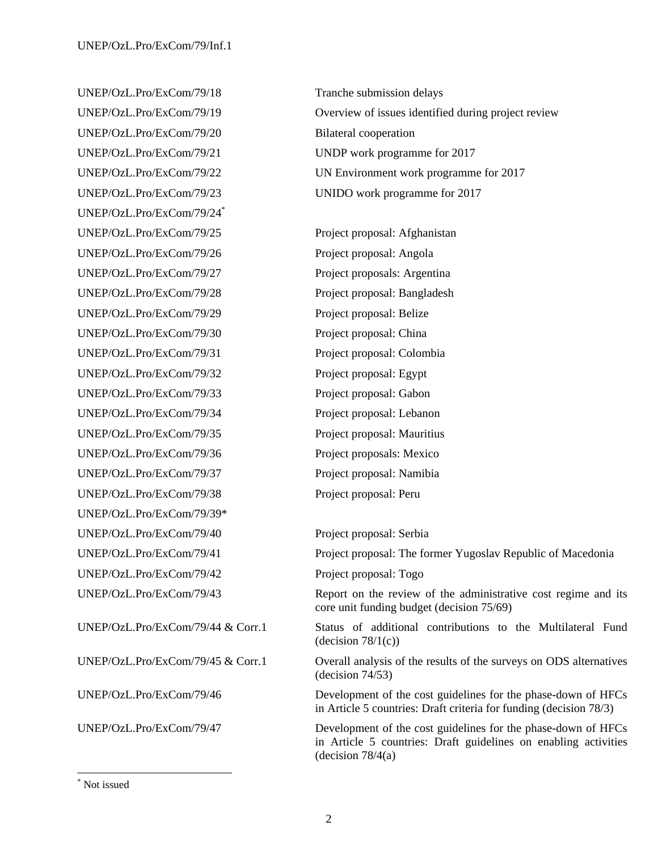UNEP/OzL.Pro/ExCom/79/18 Tranche submission delays UNEP/OzL.Pro/ExCom/79/20 Bilateral cooperation UNEP/OzL.Pro/ExCom/79/23 UNIDO work programme for 2017 UNEP/OzL.Pro/ExCom/79/24\* UNEP/OzL.Pro/ExCom/79/25 Project proposal: Afghanistan UNEP/OzL.Pro/ExCom/79/26 Project proposal: Angola UNEP/OzL.Pro/ExCom/79/27 Project proposals: Argentina UNEP/OzL.Pro/ExCom/79/28 Project proposal: Bangladesh UNEP/OzL.Pro/ExCom/79/29 Project proposal: Belize UNEP/OzL.Pro/ExCom/79/30 Project proposal: China UNEP/OzL.Pro/ExCom/79/31 Project proposal: Colombia UNEP/OzL.Pro/ExCom/79/32 Project proposal: Egypt UNEP/OzL.Pro/ExCom/79/33 Project proposal: Gabon UNEP/OzL.Pro/ExCom/79/34 Project proposal: Lebanon UNEP/OzL.Pro/ExCom/79/35 Project proposal: Mauritius UNEP/OzL.Pro/ExCom/79/36 Project proposals: Mexico UNEP/OzL.Pro/ExCom/79/37 Project proposal: Namibia UNEP/OzL.Pro/ExCom/79/38 Project proposal: Peru UNEP/OzL.Pro/ExCom/79/39\* UNEP/OzL.Pro/ExCom/79/40 Project proposal: Serbia UNEP/OzL.Pro/ExCom/79/42 Project proposal: Togo

UNEP/OzL.Pro/ExCom/79/19 Overview of issues identified during project review UNEP/OzL.Pro/ExCom/79/21 UNDP work programme for 2017 UNEP/OzL.Pro/ExCom/79/22 UN Environment work programme for 2017

UNEP/OzL.Pro/ExCom/79/41 Project proposal: The former Yugoslav Republic of Macedonia

UNEP/OzL.Pro/ExCom/79/43 Report on the review of the administrative cost regime and its core unit funding budget (decision 75/69)

UNEP/OzL.Pro/ExCom/79/44 & Corr.1 Status of additional contributions to the Multilateral Fund  $(decision 78/1(c))$ 

UNEP/OzL.Pro/ExCom/79/45 & Corr.1 Overall analysis of the results of the surveys on ODS alternatives (decision 74/53)

UNEP/OzL.Pro/ExCom/79/46 Development of the cost guidelines for the phase-down of HFCs in Article 5 countries: Draft criteria for funding (decision 78/3)

UNEP/OzL.Pro/ExCom/79/47 Development of the cost guidelines for the phase-down of HFCs in Article 5 countries: Draft guidelines on enabling activities (decision  $78/4(a)$ )

l

<sup>\*</sup> Not issued